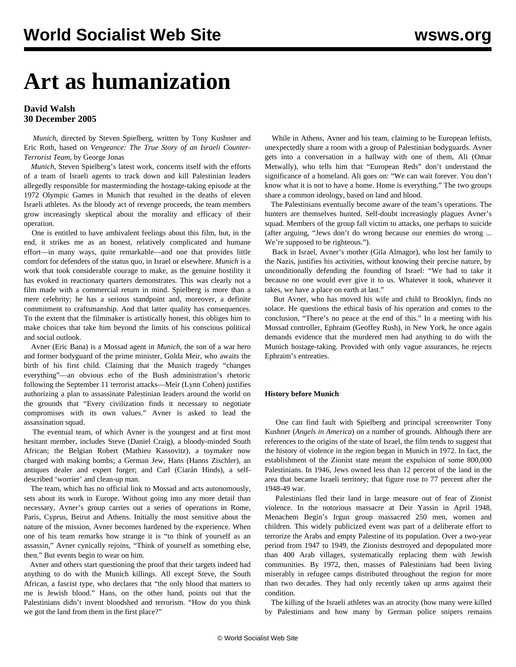# **Art as humanization**

## **David Walsh 30 December 2005**

 *Munich*, directed by Steven Spielberg, written by Tony Kushner and Eric Roth, based on *Vengeance: The True Story of an Israeli Counter-Terrorist Team*, by George Jonas

 *Munich*, Steven Spielberg's latest work, concerns itself with the efforts of a team of Israeli agents to track down and kill Palestinian leaders allegedly responsible for masterminding the hostage-taking episode at the 1972 Olympic Games in Munich that resulted in the deaths of eleven Israeli athletes. As the bloody act of revenge proceeds, the team members grow increasingly skeptical about the morality and efficacy of their operation.

 One is entitled to have ambivalent feelings about this film, but, in the end, it strikes me as an honest, relatively complicated and humane effort—in many ways, quite remarkable—and one that provides little comfort for defenders of the status quo, in Israel or elsewhere. *Munich* is a work that took considerable courage to make, as the genuine hostility it has evoked in reactionary quarters demonstrates. This was clearly not a film made with a commercial return in mind. Spielberg is more than a mere celebrity; he has a serious standpoint and, moreover, a definite commitment to craftsmanship. And that latter quality has consequences. To the extent that the filmmaker is artistically honest, this obliges him to make choices that take him beyond the limits of his conscious political and social outlook.

 Avner (Eric Bana) is a Mossad agent in *Munich*, the son of a war hero and former bodyguard of the prime minister, Golda Meir, who awaits the birth of his first child. Claiming that the Munich tragedy "changes everything"—an obvious echo of the Bush administration's rhetoric following the September 11 terrorist attacks—Meir (Lynn Cohen) justifies authorizing a plan to assassinate Palestinian leaders around the world on the grounds that "Every civilization finds it necessary to negotiate compromises with its own values." Avner is asked to lead the assassination squad.

 The eventual team, of which Avner is the youngest and at first most hesitant member, includes Steve (Daniel Craig), a bloody-minded South African; the Belgian Robert (Mathieu Kassovitz), a toymaker now charged with making bombs; a German Jew, Hans (Hanns Zischler), an antiques dealer and expert forger; and Carl (Ciarán Hinds), a selfdescribed 'worrier' and clean-up man.

 The team, which has no official link to Mossad and acts autonomously, sets about its work in Europe. Without going into any more detail than necessary, Avner's group carries out a series of operations in Rome, Paris, Cyprus, Beirut and Athens. Initially the most sensitive about the nature of the mission, Avner becomes hardened by the experience. When one of his team remarks how strange it is "to think of yourself as an assassin," Avner cynically rejoins, "Think of yourself as something else, then." But events begin to wear on him.

 Avner and others start questioning the proof that their targets indeed had anything to do with the Munich killings. All except Steve, the South African, a fascist type, who declares that "the only blood that matters to me is Jewish blood." Hans, on the other hand, points out that the Palestinians didn't invent bloodshed and terrorism. "How do you think we got the land from them in the first place?"

 While in Athens, Avner and his team, claiming to be European leftists, unexpectedly share a room with a group of Palestinian bodyguards. Avner gets into a conversation in a hallway with one of them, Ali (Omar Metwally), who tells him that "European Reds" don't understand the significance of a homeland. Ali goes on: "We can wait forever. You don't know what it is not to have a home. Home is everything." The two groups share a common ideology, based on land and blood.

 The Palestinians eventually become aware of the team's operations. The hunters are themselves hunted. Self-doubt increasingly plagues Avner's squad. Members of the group fall victim to attacks, one perhaps to suicide (after arguing, "Jews don't do wrong because our enemies do wrong ... We're supposed to be righteous.").

 Back in Israel, Avner's mother (Gila Almagor), who lost her family to the Nazis, justifies his activities, without knowing their precise nature, by unconditionally defending the founding of Israel: "We had to take it because no one would ever give it to us. Whatever it took, whatever it takes, we have a place on earth at last."

 But Avner, who has moved his wife and child to Brooklyn, finds no solace. He questions the ethical basis of his operation and comes to the conclusion, "There's no peace at the end of this." In a meeting with his Mossad controller, Ephraim (Geoffey Rush), in New York, he once again demands evidence that the murdered men had anything to do with the Munich hostage-taking. Provided with only vague assurances, he rejects Ephraim's entreaties.

### **History before Munich**

 One can find fault with Spielberg and principal screenwriter Tony Kushner (*Angels in America*) on a number of grounds. Although there are references to the origins of the state of Israel, the film tends to suggest that the history of violence in the region began in Munich in 1972. In fact, the establishment of the Zionist state meant the expulsion of some 800,000 Palestinians. In 1946, Jews owned less than 12 percent of the land in the area that became Israeli territory; that figure rose to 77 percent after the 1948-49 war.

 Palestinians fled their land in large measure out of fear of Zionist violence. In the notorious massacre at Deir Yassin in April 1948, Menachem Begin's Irgun group massacred 250 men, women and children. This widely publicized event was part of a deliberate effort to terrorize the Arabs and empty Palestine of its population. Over a two-year period from 1947 to 1949, the Zionists destroyed and depopulated more than 400 Arab villages, systematically replacing them with Jewish communities. By 1972, then, masses of Palestinians had been living miserably in refugee camps distributed throughout the region for more than two decades. They had only recently taken up arms against their condition.

 The killing of the Israeli athletes was an atrocity (how many were killed by Palestinians and how many by German police snipers remains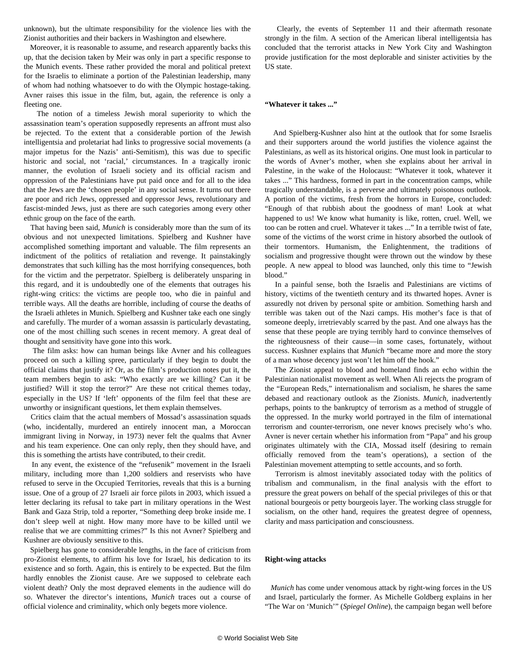unknown), but the ultimate responsibility for the violence lies with the Zionist authorities and their backers in Washington and elsewhere.

 Moreover, it is reasonable to assume, and research apparently backs this up, that the decision taken by Meir was only in part a specific response to the Munich events. These rather provided the moral and political pretext for the Israelis to eliminate a portion of the Palestinian leadership, many of whom had nothing whatsoever to do with the Olympic hostage-taking. Avner raises this issue in the film, but, again, the reference is only a fleeting one.

 The notion of a timeless Jewish moral superiority to which the assassination team's operation supposedly represents an affront must also be rejected. To the extent that a considerable portion of the Jewish intelligentsia and proletariat had links to progressive social movements (a major impetus for the Nazis' anti-Semitism), this was due to specific historic and social, not 'racial,' circumstances. In a tragically ironic manner, the evolution of Israeli society and its official racism and oppression of the Palestinians have put paid once and for all to the idea that the Jews are the 'chosen people' in any social sense. It turns out there are poor and rich Jews, oppressed and oppressor Jews, revolutionary and fascist-minded Jews, just as there are such categories among every other ethnic group on the face of the earth.

 That having been said, *Munich* is considerably more than the sum of its obvious and not unexpected limitations. Spielberg and Kushner have accomplished something important and valuable. The film represents an indictment of the politics of retaliation and revenge. It painstakingly demonstrates that such killing has the most horrifying consequences, both for the victim and the perpetrator. Spielberg is deliberately unsparing in this regard, and it is undoubtedly one of the elements that outrages his right-wing critics: the victims are people too, who die in painful and terrible ways. All the deaths are horrible, including of course the deaths of the Israeli athletes in Munich. Spielberg and Kushner take each one singly and carefully. The murder of a woman assassin is particularly devastating, one of the most chilling such scenes in recent memory. A great deal of thought and sensitivity have gone into this work.

 The film asks: how can human beings like Avner and his colleagues proceed on such a killing spree, particularly if they begin to doubt the official claims that justify it? Or, as the film's production notes put it, the team members begin to ask: "Who exactly are we killing? Can it be justified? Will it stop the terror?" Are these not critical themes today, especially in the US? If 'left' opponents of the film feel that these are unworthy or insignificant questions, let them explain themselves.

 Critics claim that the actual members of Mossad's assassination squads (who, incidentally, murdered an entirely innocent man, a Moroccan immigrant living in Norway, in 1973) never felt the qualms that Avner and his team experience. One can only reply, then they should have, and this is something the artists have contributed, to their credit.

 In any event, the existence of the "refusenik" movement in the Israeli military, including more than 1,200 soldiers and reservists who have refused to serve in the Occupied Territories, reveals that this is a burning issue. One of a group of 27 Israeli air force pilots in 2003, which issued a letter declaring its refusal to take part in military operations in the West Bank and Gaza Strip, told a reporter*,* "Something deep broke inside me. I don't sleep well at night. How many more have to be killed until we realise that we are committing crimes?" Is this not Avner? Spielberg and Kushner are obviously sensitive to this.

 Spielberg has gone to considerable lengths, in the face of criticism from pro-Zionist elements, to affirm his love for Israel, his dedication to its existence and so forth. Again, this is entirely to be expected. But the film hardly ennobles the Zionist cause. Are we supposed to celebrate each violent death? Only the most depraved elements in the audience will do so. Whatever the director's intentions, *Munich* traces out a course of official violence and criminality, which only begets more violence.

 Clearly, the events of September 11 and their aftermath resonate strongly in the film. A section of the American liberal intelligentsia has concluded that the terrorist attacks in New York City and Washington provide justification for the most deplorable and sinister activities by the US state.

#### **"Whatever it takes ..."**

 And Spielberg-Kushner also hint at the outlook that for some Israelis and their supporters around the world justifies the violence against the Palestinians, as well as its historical origins. One must look in particular to the words of Avner's mother, when she explains about her arrival in Palestine, in the wake of the Holocaust: "Whatever it took, whatever it takes ..." This hardness, formed in part in the concentration camps, while tragically understandable, is a perverse and ultimately poisonous outlook. A portion of the victims, fresh from the horrors in Europe, concluded: "Enough of that rubbish about the goodness of man! Look at what happened to us! We know what humanity is like, rotten, cruel. Well, we too can be rotten and cruel. Whatever it takes ..." In a terrible twist of fate, some of the victims of the worst crime in history absorbed the outlook of their tormentors. Humanism, the Enlightenment, the traditions of socialism and progressive thought were thrown out the window by these people. A new appeal to blood was launched, only this time to "Jewish blood."

 In a painful sense, both the Israelis and Palestinians are victims of history, victims of the twentieth century and its thwarted hopes. Avner is assuredly not driven by personal spite or ambition. Something harsh and terrible was taken out of the Nazi camps. His mother's face is that of someone deeply, irretrievably scarred by the past. And one always has the sense that these people are trying terribly hard to convince themselves of the righteousness of their cause—in some cases, fortunately, without success. Kushner explains that *Munich* "became more and more the story of a man whose decency just won't let him off the hook."

 The Zionist appeal to blood and homeland finds an echo within the Palestinian nationalist movement as well. When Ali rejects the program of the "European Reds," internationalism and socialism, he shares the same debased and reactionary outlook as the Zionists. *Munich*, inadvertently perhaps, points to the bankruptcy of terrorism as a method of struggle of the oppressed. In the murky world portrayed in the film of international terrorism and counter-terrorism, one never knows precisely who's who. Avner is never certain whether his information from "Papa" and his group originates ultimately with the CIA, Mossad itself (desiring to remain officially removed from the team's operations), a section of the Palestinian movement attempting to settle accounts, and so forth.

 Terrorism is almost inevitably associated today with the politics of tribalism and communalism, in the final analysis with the effort to pressure the great powers on behalf of the special privileges of this or that national bourgeois or petty bourgeois layer. The working class struggle for socialism, on the other hand, requires the greatest degree of openness, clarity and mass participation and consciousness.

#### **Right-wing attacks**

 *Munich* has come under venomous attack by right-wing forces in the US and Israel, particularly the former. As Michelle Goldberg explains in her "The War on 'Munich'" (*Spiegel Online*), the campaign began well before